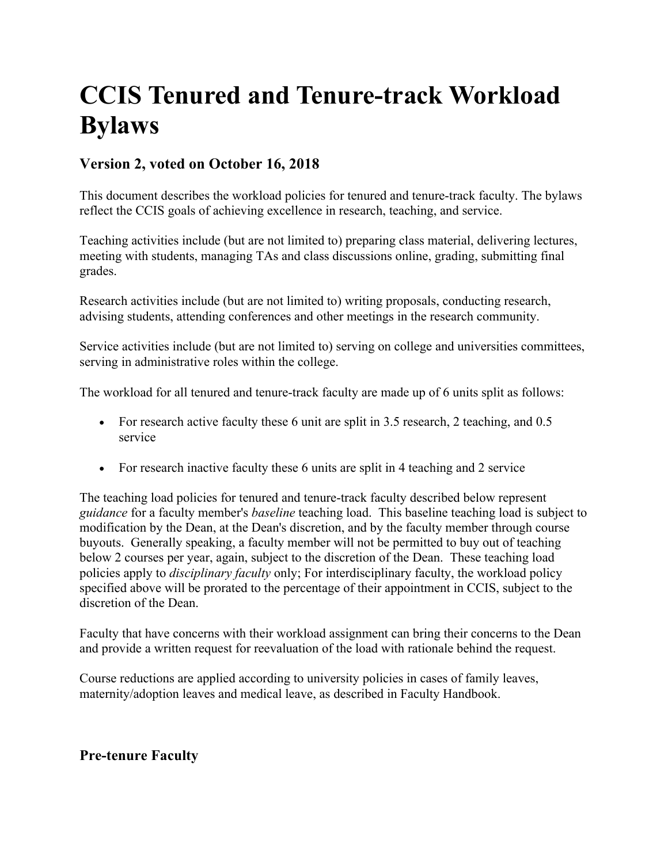# **CCIS Tenured and Tenure-track Workload Bylaws**

### **Version 2, voted on October 16, 2018**

This document describes the workload policies for tenured and tenure-track faculty. The bylaws reflect the CCIS goals of achieving excellence in research, teaching, and service.

Teaching activities include (but are not limited to) preparing class material, delivering lectures, meeting with students, managing TAs and class discussions online, grading, submitting final grades.

Research activities include (but are not limited to) writing proposals, conducting research, advising students, attending conferences and other meetings in the research community.

Service activities include (but are not limited to) serving on college and universities committees, serving in administrative roles within the college.

The workload for all tenured and tenure-track faculty are made up of 6 units split as follows:

- For research active faculty these 6 unit are split in 3.5 research, 2 teaching, and 0.5 service
- For research inactive faculty these 6 units are split in 4 teaching and 2 service

The teaching load policies for tenured and tenure-track faculty described below represent *guidance* for a faculty member's *baseline* teaching load. This baseline teaching load is subject to modification by the Dean, at the Dean's discretion, and by the faculty member through course buyouts. Generally speaking, a faculty member will not be permitted to buy out of teaching below 2 courses per year, again, subject to the discretion of the Dean. These teaching load policies apply to *disciplinary faculty* only; For interdisciplinary faculty, the workload policy specified above will be prorated to the percentage of their appointment in CCIS, subject to the discretion of the Dean.

Faculty that have concerns with their workload assignment can bring their concerns to the Dean and provide a written request for reevaluation of the load with rationale behind the request.

Course reductions are applied according to university policies in cases of family leaves, maternity/adoption leaves and medical leave, as described in Faculty Handbook.

### **Pre-tenure Faculty**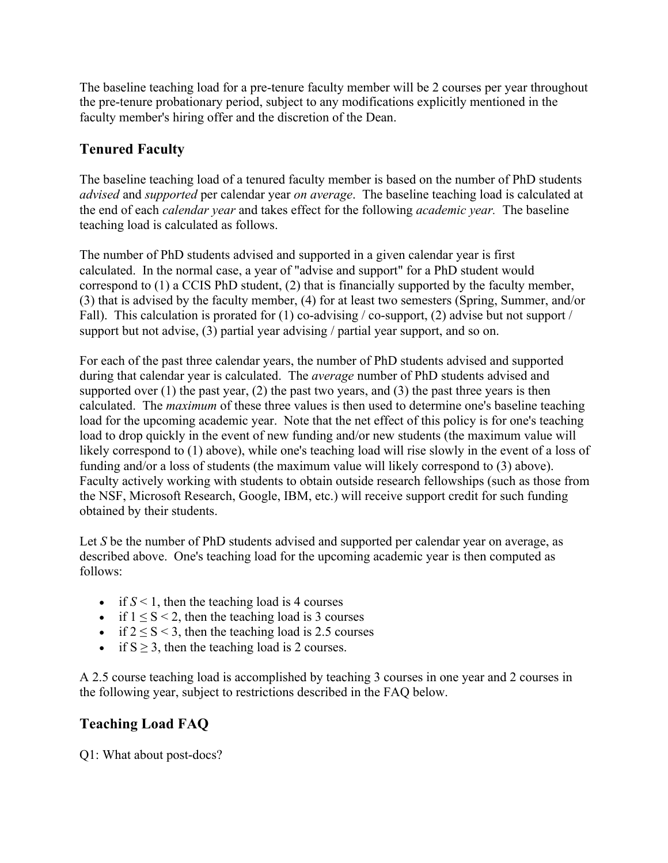The baseline teaching load for a pre-tenure faculty member will be 2 courses per year throughout the pre-tenure probationary period, subject to any modifications explicitly mentioned in the faculty member's hiring offer and the discretion of the Dean.

## **Tenured Faculty**

The baseline teaching load of a tenured faculty member is based on the number of PhD students *advised* and *supported* per calendar year *on average*. The baseline teaching load is calculated at the end of each *calendar year* and takes effect for the following *academic year.* The baseline teaching load is calculated as follows.

The number of PhD students advised and supported in a given calendar year is first calculated. In the normal case, a year of "advise and support" for a PhD student would correspond to (1) a CCIS PhD student, (2) that is financially supported by the faculty member, (3) that is advised by the faculty member, (4) for at least two semesters (Spring, Summer, and/or Fall). This calculation is prorated for (1) co-advising  $\prime$  co-support, (2) advise but not support  $\prime$ support but not advise, (3) partial year advising / partial year support, and so on.

For each of the past three calendar years, the number of PhD students advised and supported during that calendar year is calculated. The *average* number of PhD students advised and supported over  $(1)$  the past year,  $(2)$  the past two years, and  $(3)$  the past three years is then calculated. The *maximum* of these three values is then used to determine one's baseline teaching load for the upcoming academic year. Note that the net effect of this policy is for one's teaching load to drop quickly in the event of new funding and/or new students (the maximum value will likely correspond to (1) above), while one's teaching load will rise slowly in the event of a loss of funding and/or a loss of students (the maximum value will likely correspond to (3) above). Faculty actively working with students to obtain outside research fellowships (such as those from the NSF, Microsoft Research, Google, IBM, etc.) will receive support credit for such funding obtained by their students.

Let *S* be the number of PhD students advised and supported per calendar year on average, as described above. One's teaching load for the upcoming academic year is then computed as follows:

- if  $S < 1$ , then the teaching load is 4 courses
- if  $1 \le S < 2$ , then the teaching load is 3 courses
- if  $2 \le S \le 3$ , then the teaching load is 2.5 courses
- if  $S \geq 3$ , then the teaching load is 2 courses.

A 2.5 course teaching load is accomplished by teaching 3 courses in one year and 2 courses in the following year, subject to restrictions described in the FAQ below.

## **Teaching Load FAQ**

Q1: What about post-docs?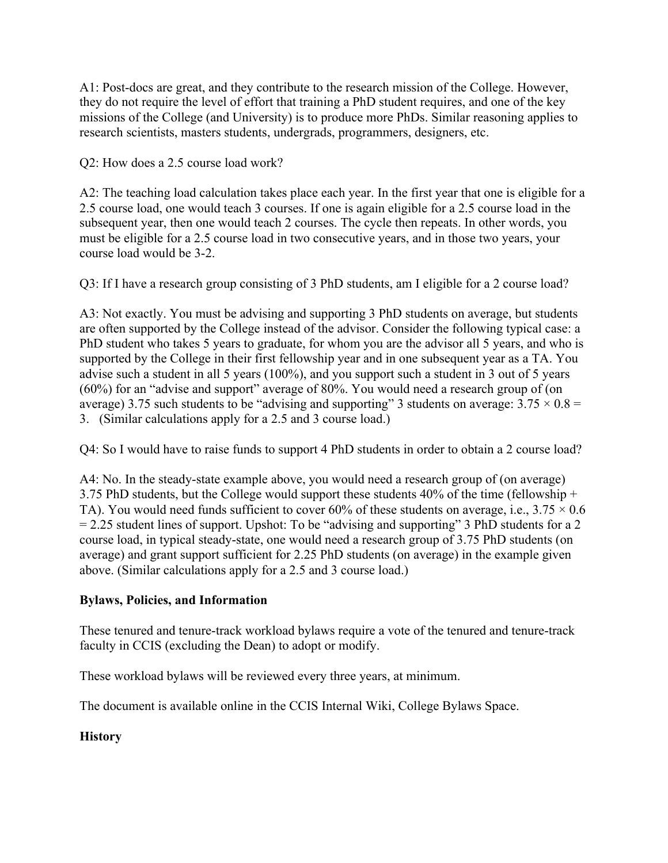A1: Post-docs are great, and they contribute to the research mission of the College. However, they do not require the level of effort that training a PhD student requires, and one of the key missions of the College (and University) is to produce more PhDs. Similar reasoning applies to research scientists, masters students, undergrads, programmers, designers, etc.

Q2: How does a 2.5 course load work?

A2: The teaching load calculation takes place each year. In the first year that one is eligible for a 2.5 course load, one would teach 3 courses. If one is again eligible for a 2.5 course load in the subsequent year, then one would teach 2 courses. The cycle then repeats. In other words, you must be eligible for a 2.5 course load in two consecutive years, and in those two years, your course load would be 3-2.

Q3: If I have a research group consisting of 3 PhD students, am I eligible for a 2 course load?

A3: Not exactly. You must be advising and supporting 3 PhD students on average, but students are often supported by the College instead of the advisor. Consider the following typical case: a PhD student who takes 5 years to graduate, for whom you are the advisor all 5 years, and who is supported by the College in their first fellowship year and in one subsequent year as a TA. You advise such a student in all 5 years (100%), and you support such a student in 3 out of 5 years (60%) for an "advise and support" average of 80%. You would need a research group of (on average) 3.75 such students to be "advising and supporting" 3 students on average:  $3.75 \times 0.8 =$ 3. (Similar calculations apply for a 2.5 and 3 course load.)

Q4: So I would have to raise funds to support 4 PhD students in order to obtain a 2 course load?

A4: No. In the steady-state example above, you would need a research group of (on average) 3.75 PhD students, but the College would support these students  $40\%$  of the time (fellowship + TA). You would need funds sufficient to cover 60% of these students on average, i.e.,  $3.75 \times 0.6$  $= 2.25$  student lines of support. Upshot: To be "advising and supporting" 3 PhD students for a 2 course load, in typical steady-state, one would need a research group of 3.75 PhD students (on average) and grant support sufficient for 2.25 PhD students (on average) in the example given above. (Similar calculations apply for a 2.5 and 3 course load.)

### **Bylaws, Policies, and Information**

These tenured and tenure-track workload bylaws require a vote of the tenured and tenure-track faculty in CCIS (excluding the Dean) to adopt or modify.

These workload bylaws will be reviewed every three years, at minimum.

The document is available online in the CCIS Internal Wiki, College Bylaws Space.

### **History**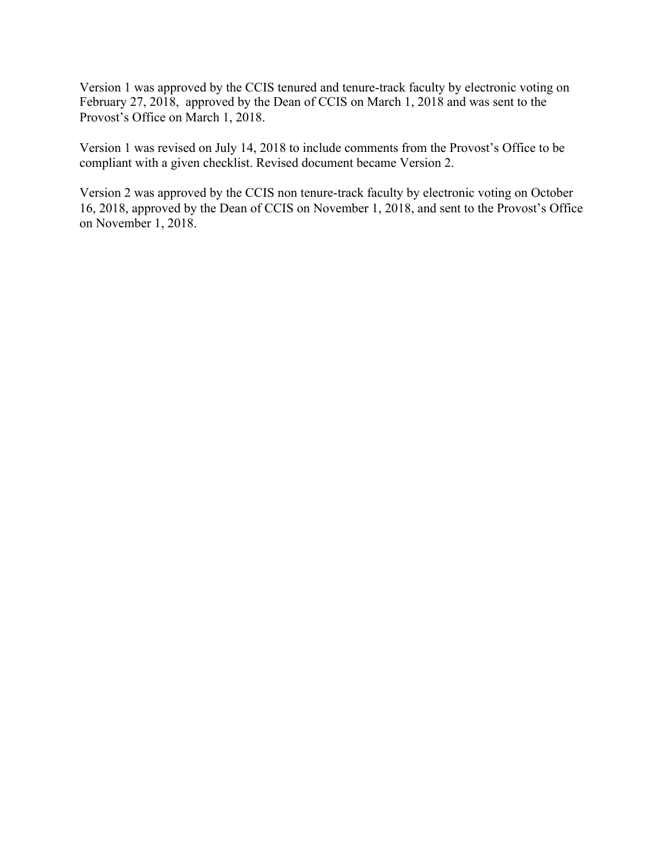Version 1 was approved by the CCIS tenured and tenure-track faculty by electronic voting on February 27, 2018, approved by the Dean of CCIS on March 1, 2018 and was sent to the Provost's Office on March 1, 2018.

Version 1 was revised on July 14, 2018 to include comments from the Provost's Office to be compliant with a given checklist. Revised document became Version 2.

Version 2 was approved by the CCIS non tenure-track faculty by electronic voting on October 16, 2018, approved by the Dean of CCIS on November 1, 2018, and sent to the Provost's Office on November 1, 2018.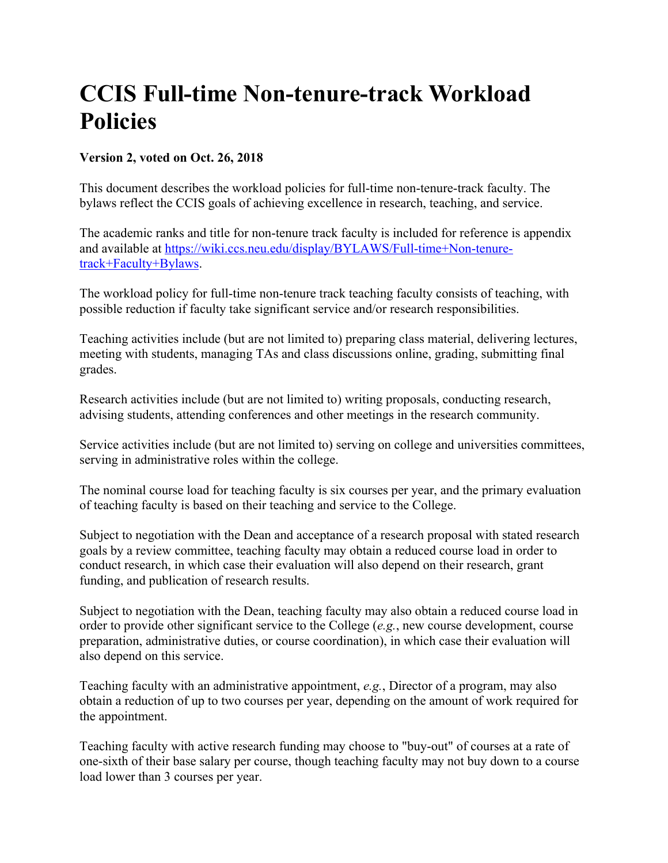## **CCIS Full-time Non-tenure-track Workload Policies**

### **Version 2, voted on Oct. 26, 2018**

This document describes the workload policies for full-time non-tenure-track faculty. The bylaws reflect the CCIS goals of achieving excellence in research, teaching, and service.

The academic ranks and title for non-tenure track faculty is included for reference is appendix and available at https://wiki.ccs.neu.edu/display/BYLAWS/Full-time+Non-tenuretrack+Faculty+Bylaws.

The workload policy for full-time non-tenure track teaching faculty consists of teaching, with possible reduction if faculty take significant service and/or research responsibilities.

Teaching activities include (but are not limited to) preparing class material, delivering lectures, meeting with students, managing TAs and class discussions online, grading, submitting final grades.

Research activities include (but are not limited to) writing proposals, conducting research, advising students, attending conferences and other meetings in the research community.

Service activities include (but are not limited to) serving on college and universities committees, serving in administrative roles within the college.

The nominal course load for teaching faculty is six courses per year, and the primary evaluation of teaching faculty is based on their teaching and service to the College.

Subject to negotiation with the Dean and acceptance of a research proposal with stated research goals by a review committee, teaching faculty may obtain a reduced course load in order to conduct research, in which case their evaluation will also depend on their research, grant funding, and publication of research results.

Subject to negotiation with the Dean, teaching faculty may also obtain a reduced course load in order to provide other significant service to the College (*e.g.*, new course development, course preparation, administrative duties, or course coordination), in which case their evaluation will also depend on this service.

Teaching faculty with an administrative appointment, *e.g.*, Director of a program, may also obtain a reduction of up to two courses per year, depending on the amount of work required for the appointment.

Teaching faculty with active research funding may choose to "buy-out" of courses at a rate of one-sixth of their base salary per course, though teaching faculty may not buy down to a course load lower than 3 courses per year.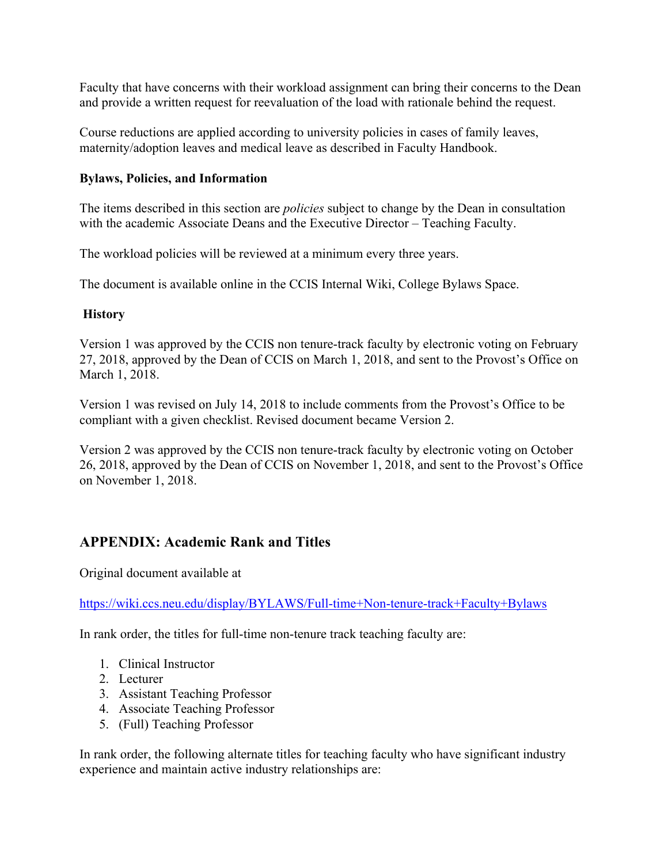Faculty that have concerns with their workload assignment can bring their concerns to the Dean and provide a written request for reevaluation of the load with rationale behind the request.

Course reductions are applied according to university policies in cases of family leaves, maternity/adoption leaves and medical leave as described in Faculty Handbook.

#### **Bylaws, Policies, and Information**

The items described in this section are *policies* subject to change by the Dean in consultation with the academic Associate Deans and the Executive Director – Teaching Faculty.

The workload policies will be reviewed at a minimum every three years.

The document is available online in the CCIS Internal Wiki, College Bylaws Space.

### **History**

Version 1 was approved by the CCIS non tenure-track faculty by electronic voting on February 27, 2018, approved by the Dean of CCIS on March 1, 2018, and sent to the Provost's Office on March 1, 2018.

Version 1 was revised on July 14, 2018 to include comments from the Provost's Office to be compliant with a given checklist. Revised document became Version 2.

Version 2 was approved by the CCIS non tenure-track faculty by electronic voting on October 26, 2018, approved by the Dean of CCIS on November 1, 2018, and sent to the Provost's Office on November 1, 2018.

### **APPENDIX: Academic Rank and Titles**

Original document available at

https://wiki.ccs.neu.edu/display/BYLAWS/Full-time+Non-tenure-track+Faculty+Bylaws

In rank order, the titles for full-time non-tenure track teaching faculty are:

- 1. Clinical Instructor
- 2. Lecturer
- 3. Assistant Teaching Professor
- 4. Associate Teaching Professor
- 5. (Full) Teaching Professor

In rank order, the following alternate titles for teaching faculty who have significant industry experience and maintain active industry relationships are: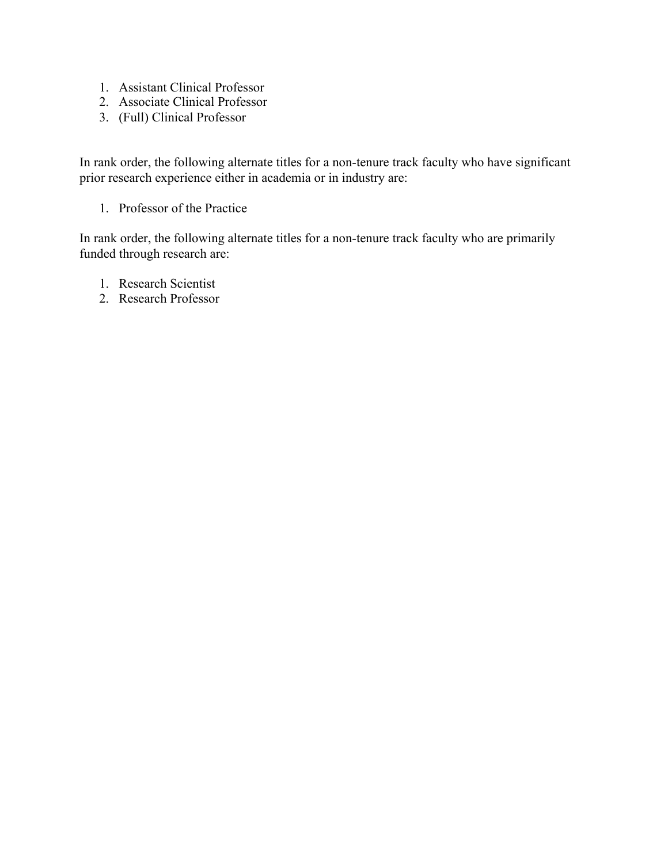- 1. Assistant Clinical Professor
- 2. Associate Clinical Professor
- 3. (Full) Clinical Professor

In rank order, the following alternate titles for a non-tenure track faculty who have significant prior research experience either in academia or in industry are:

1. Professor of the Practice

In rank order, the following alternate titles for a non-tenure track faculty who are primarily funded through research are:

- 1. Research Scientist
- 2. Research Professor